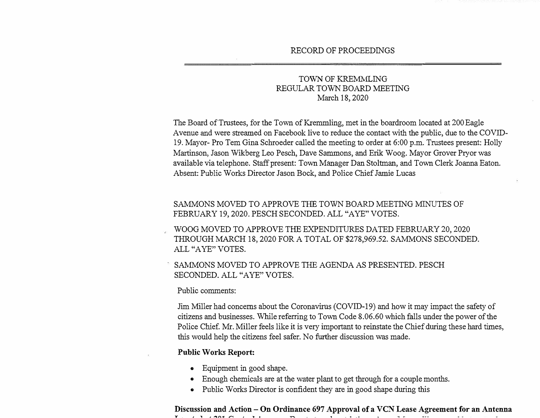# TOWN OF KREMMLING REGULAR TOWN BOARD MEETING March 18, 2020

The Board of Trustees, for the Town of Kremmling, met in the boardroom located at 200 Eagle Avenue and were streamed on Facebook live to reduce the contact with the public, due to the COVID-19. Mayor- Pro Tem Gina Schroeder called the meeting to order at 6:00 p.m. Trustees present: Holly Martinson, Jason Wikberg Leo Pesch, Dave Sammons, and Erik Woog. Mayor Grover Pryor was available via telephone. Staff present: Town Manager Dan Stoltman, and Town Clerk Joanna Eaton. Absent: Public Works Director Jason Bock, and Police Chief Jamie Lucas

## SAMMONS MOVED TO APPROVE THE TOWN BOARD MEETING MINUTES OF FEBRUARY 19, 2020. PESCH SECONDED. ALL "A YE" VOTES.

WOOG MOVED TO APPROVE THE EXPENDITURES DATED FEBRUARY 20, 2020 THROUGH MARCH 18, 2020 FOR A TOTAL OF \$278,969.52. SAMMONS SECONDED. ALL "AYE" VOTES.

SAMMONS MOVED TO APPROVE THE AGENDA AS PRESENTED. PESCH SECONDED. ALL "A YE" VOTES.

#### Public comments:

Jim Miller had concerns about the Coronavirus (COVID-19) and how it may impact the safety of citizens and businesses. While referring to Town Code 8.06.60 which falls under the power of the Police Chief. Mr. Miller feels like it is very important to reinstate the Chief during these hard times, this would help the citizens feel safer. No further discussion was made.

#### **Public Works Report:**

- Equipment in good shape.
- Enough chemicals are at the water plant to get through for a couple months.
- Public Works Director is confident they are in good shape during this

#### **Discussion and Action - On Ordinance 697 Approval of a VCN Lease Agreement for an Antenna**  T , I , AA (A ) II , THE FILL IT IN THE FILL IT IS A FILL IT IS A FILL IT IS A FILL IT IS A FILL IT IS A FILL I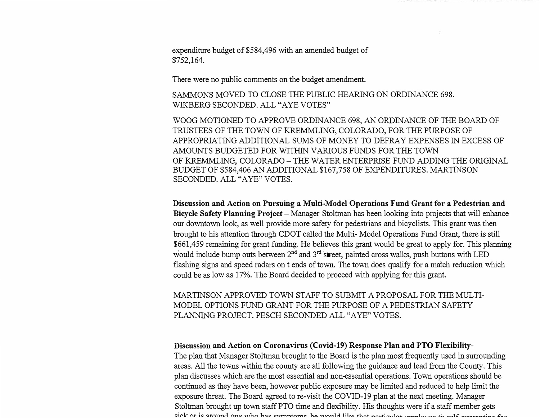expenditure budget of \$584,496 with an amended budget of \$752,164.

There were no public comments on the budget amendment.

SAMMONS MOVED TO CLOSE THE PUBLIC HEARING ON ORDINANCE 698. WIKBERG SECONDED. ALL "AYE VOTES"

WOOG MOTIONED TO APPROVE ORDINANCE 698, AN ORDINANCE OF THE BOARD OF TRUSTEES OF THE TOWN OF KREMMLING, COLORADO, FOR THE PURPOSE OF APPROPRIATING ADDITIONAL SUMS OF MONEY TO DEFRAY EXPENSES IN EXCESS OF AMOUNTS BUDGETED FOR WITHIN VARIOUS FUNDS FOR THE TOWN OF KREMMLING, COLORADO- THE WATER ENTERPRISE FUND ADDING THE ORIGINAL BUDGET OF \$584,406 AN ADDITIONAL \$167,758 OF EXPENDITURES. MARTINSON SECONDED. ALL "AYE" VOTES.

**Discussion and Action on Pursuing a Multi-Model Operations Fund Grant for a Pedestrian and**  Bicycle Safety Planning Project – Manager Stoltman has been looking into projects that will enhance our downtown look, as well provide more safety for pedestrians and bicyclists. This grant was then brought to his attention through CDOT called the Multi-Model Operations Fund Grant, there is still \$661,459 remaining for grant funding. He believes this grant would be great to apply for. This planning would include bump outs between  $2<sup>nd</sup>$  and  $3<sup>rd</sup>$  street, painted cross walks, push buttons with LED flashing signs and speed radars on t ends of town. The town does qualify for a match reduction which could be as low as 17%. The Board decided to proceed with applying for this grant.

MARTINSON APPROVED TOWN STAFF TO SUBMIT A PROPOSAL FOR THE MULTI-MODEL OPTIONS FUND GRANT FOR THE PURPOSE OF A PEDESTRIAN SAFETY PLANNING PROJECT. PESCH SECONDED ALL "A YE" VOTES.

### **Discussion and Action on Coronavirus (Covid-19) Response Plan and PTO Flexibility-**

The plan that Manager Stoltman brought to the Board is the plan most frequently used in surrounding areas. All the towns within the county are all following the guidance and lead from the County. This plan discusses which are the most essential and non-essential operations. Town operations should be continued as they have been, however public exposure may be limited and reduced to help limit the exposure threat. The Board agreed to re-visit the COVID-19 plan at the next meeting. Manager Stoltman brought up town staff PTO time and flexibility. His thoughts were if a staff member gets rick or is around one who has symptoms, he would like that particular employee to self quaranting for